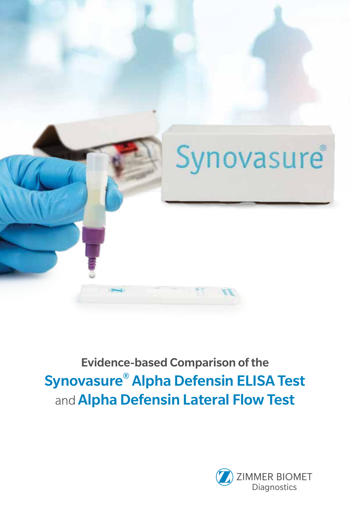

# Evidence-based Comparison of the Synovasure® Alpha Defensin ELISA Test and **Alpha Defensin Lateral Flow Test**

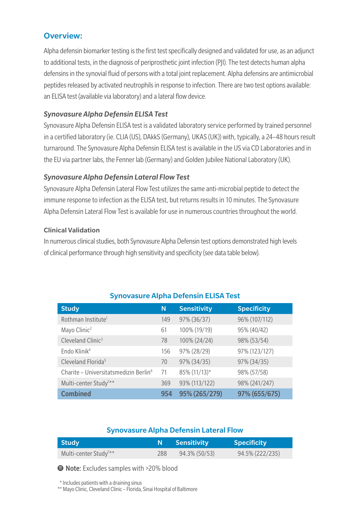### Overview:

Alpha defensin biomarker testing is the first test specifically designed and validated for use, as an adjunct to additional tests, in the diagnosis of periprosthetic joint infection (PJI). The test detects human alpha defensins in the synovial fluid of persons with a total joint replacement. Alpha defensins are antimicrobial peptides released by activated neutrophils in response to infection. There are two test options available: an ELISA test (available via laboratory) and a lateral flow device.

#### *Synovasure Alpha Defensin ELISA Test*

Synovasure Alpha Defensin ELISA test is a validated laboratory service performed by trained personnel in a certified laboratory (ie. CLIA (US), DAkkS (Germany), UKAS (UK)) with, typically, a 24–48 hours result turnaround. The Synovasure Alpha Defensin ELISA test is available in the US via CD Laboratories and in the EU via partner labs, the Fenner lab (Germany) and Golden Jubilee National Laboratory (UK).

#### *Synovasure Alpha Defensin Lateral Flow Test*

Synovasure Alpha Defensin Lateral Flow Test utilizes the same anti-microbial peptide to detect the immune response to infection as the ELISA test, but returns results in 10 minutes. The Synovasure Alpha Defensin Lateral Flow Test is available for use in numerous countries throughout the world.

#### Clinical Validation

In numerous clinical studies, both Synovasure Alpha Defensin test options demonstrated high levels of clinical performance through high sensitivity and specificity (see data table below).

| <b>Study</b>                                      | N   | <b>Sensitivity</b> | <b>Specificity</b> |
|---------------------------------------------------|-----|--------------------|--------------------|
| Rothman Institute <sup>1</sup>                    | 149 | 97% (36/37)        | 96% (107/112)      |
| Mayo Clinic <sup>2</sup>                          | 61  | 100% (19/19)       | 95% (40/42)        |
| Cleveland Clinic <sup>3</sup>                     | 78  | 100% (24/24)       | 98% (53/54)        |
| Endo Klinik <sup>4</sup>                          | 156 | 97% (28/29)        | 97% (123/127)      |
| Cleveland Florida <sup>5</sup>                    | 70  | 97% (34/35)        | 97% (34/35)        |
| Charite - Universitatsmedizin Berlin <sup>6</sup> | 71  | 85% (11/13)*       | 98% (57/58)        |
| Multi-center Study <sup>7**</sup>                 | 369 | 93% (113/122)      | 98% (241/247)      |
| <b>Combined</b>                                   | 954 | 95% (265/279)      | 97% (655/675)      |

#### Synovasure Alpha Defensin ELISA Test

#### Synovasure Alpha Defensin Lateral Flow

| l Studv                           |     | Sensitivity   | <b>Specificity</b> |
|-----------------------------------|-----|---------------|--------------------|
| Multi-center Study <sup>7**</sup> | 288 | 94.3% (50/53) | 94.5% (222/235)    |

● Note: Excludes samples with >20% blood

\* Includes patients with a draining sinus

\*\* Mayo Clinic, Cleveland Clinic – Florida, Sinai Hospital of Baltimore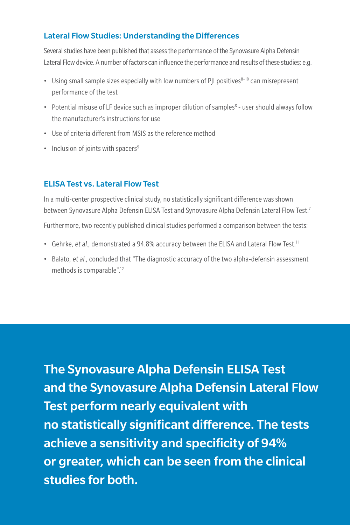## Lateral Flow Studies: Understanding the Differences

Several studies have been published that assess the performance of the Synovasure Alpha Defensin Lateral Flow device. A number of factors can influence the performance and results of these studies; e.g.

- Using small sample sizes especially with low numbers of PII positives<sup>8-10</sup> can misrepresent performance of the test
- Potential misuse of LF device such as improper dilution of samples<sup>8</sup> user should always follow the manufacturer's instructions for use
- Use of criteria different from MSIS as the reference method
- Inclusion of joints with spacers<sup>9</sup>

# ELISA Test vs. Lateral Flow Test

In a multi-center prospective clinical study, no statistically significant difference was shown between Synovasure Alpha Defensin ELISA Test and Synovasure Alpha Defensin Lateral Flow Test.7

Furthermore, two recently published clinical studies performed a comparison between the tests:

- Gehrke, et al., demonstrated a 94.8% accuracy between the ELISA and Lateral Flow Test.<sup>11</sup>
- Balato, et al., concluded that "The diagnostic accuracy of the two alpha-defensin assessment methods is comparable".12

The Synovasure Alpha Defensin ELISA Test and the Synovasure Alpha Defensin Lateral Flow Test perform nearly equivalent with no statistically significant difference. The tests achieve a sensitivity and specificity of 94% or greater, which can be seen from the clinical studies for both.